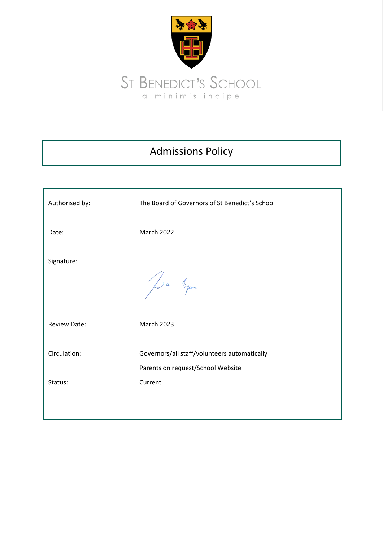

# Admissions Policy

| Authorised by:      | The Board of Governors of St Benedict's School                                    |
|---------------------|-----------------------------------------------------------------------------------|
| Date:               | <b>March 2022</b>                                                                 |
| Signature:          | Jula Squ                                                                          |
| <b>Review Date:</b> | <b>March 2023</b>                                                                 |
| Circulation:        | Governors/all staff/volunteers automatically<br>Parents on request/School Website |
| Status:             | Current                                                                           |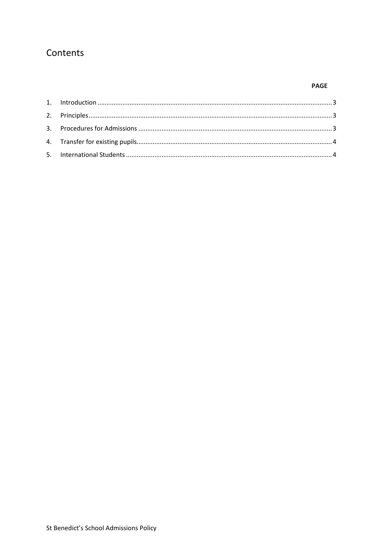# Contents

## **PAGE**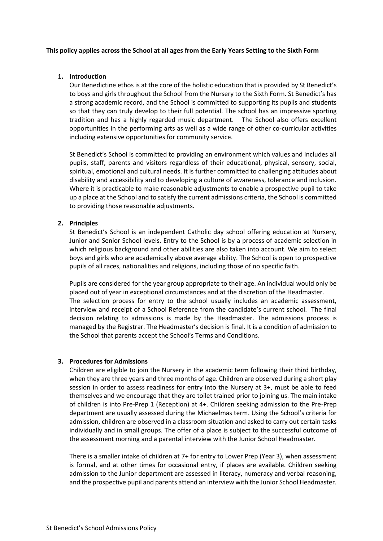#### **This policy applies across the School at all ages from the Early Years Setting to the Sixth Form**

## <span id="page-2-0"></span>**1. Introduction**

Our Benedictine ethos is at the core of the holistic education that is provided by St Benedict's to boys and girls throughout the School from the Nursery to the Sixth Form. St Benedict's has a strong academic record, and the School is committed to supporting its pupils and students so that they can truly develop to their full potential. The school has an impressive sporting tradition and has a highly regarded music department. The School also offers excellent opportunities in the performing arts as well as a wide range of other co-curricular activities including extensive opportunities for community service.

St Benedict's School is committed to providing an environment which values and includes all pupils, staff, parents and visitors regardless of their educational, physical, sensory, social, spiritual, emotional and cultural needs. It is further committed to challenging attitudes about disability and accessibility and to developing a culture of awareness, tolerance and inclusion. Where it is practicable to make reasonable adjustments to enable a prospective pupil to take up a place at the School and to satisfy the current admissions criteria, the School is committed to providing those reasonable adjustments.

#### <span id="page-2-1"></span>**2. Principles**

St Benedict's School is an independent Catholic day school offering education at Nursery, Junior and Senior School levels. Entry to the School is by a process of academic selection in which religious background and other abilities are also taken into account. We aim to select boys and girls who are academically above average ability. The School is open to prospective pupils of all races, nationalities and religions, including those of no specific faith.

Pupils are considered for the year group appropriate to their age. An individual would only be placed out of year in exceptional circumstances and at the discretion of the Headmaster. The selection process for entry to the school usually includes an academic assessment, interview and receipt of a School Reference from the candidate's current school. The final decision relating to admissions is made by the Headmaster. The admissions process is managed by the Registrar. The Headmaster's decision is final. It is a condition of admission to the School that parents accept the School's Terms and Conditions.

## <span id="page-2-2"></span>**3. Procedures for Admissions**

Children are eligible to join the Nursery in the academic term following their third birthday, when they are three years and three months of age. Children are observed during a short play session in order to assess readiness for entry into the Nursery at 3+, must be able to feed themselves and we encourage that they are toilet trained prior to joining us. The main intake of children is into Pre-Prep 1 (Reception) at 4+. Children seeking admission to the Pre-Prep department are usually assessed during the Michaelmas term. Using the School's criteria for admission, children are observed in a classroom situation and asked to carry out certain tasks individually and in small groups. The offer of a place is subject to the successful outcome of the assessment morning and a parental interview with the Junior School Headmaster.

There is a smaller intake of children at 7+ for entry to Lower Prep (Year 3), when assessment is formal, and at other times for occasional entry, if places are available. Children seeking admission to the Junior department are assessed in literacy, numeracy and verbal reasoning, and the prospective pupil and parents attend an interview with the Junior School Headmaster.